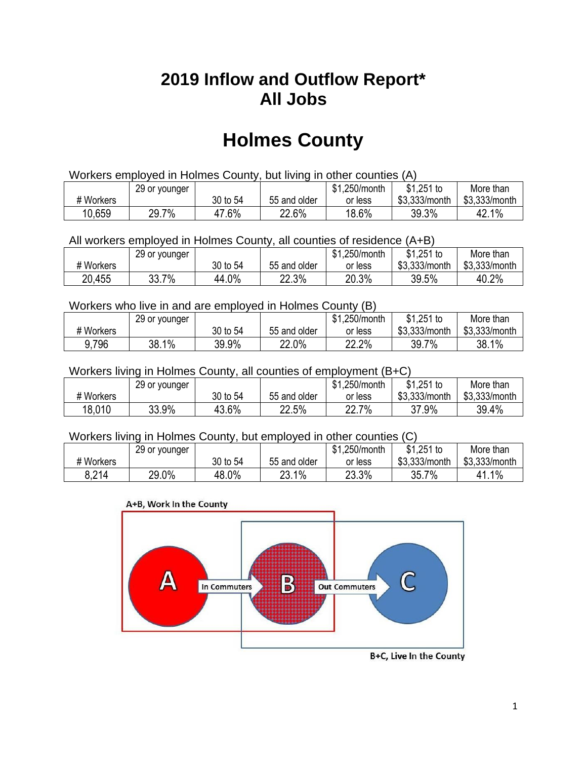## **2019 Inflow and Outflow Report\* All Jobs**

# **Holmes County**

| Workers employed in Holmes County, but living in other counties (A) |                                                            |          |              |         |               |               |  |  |  |
|---------------------------------------------------------------------|------------------------------------------------------------|----------|--------------|---------|---------------|---------------|--|--|--|
|                                                                     | $$1,251$ to<br>\$1.250/month<br>More than<br>29 or younger |          |              |         |               |               |  |  |  |
| # Workers                                                           |                                                            | 30 to 54 | 55 and older | or less | \$3.333/month | \$3.333/month |  |  |  |
| 10,659                                                              | 29.7%                                                      | 47.6%    | 22.6%        | 18.6%   | 39.3%         | 42.1%         |  |  |  |

All workers employed in Holmes County, all counties of residence (A+B)

|           | 29 or younger          |          |              | \$1,250/month | $$1,251$ to   | More than     |
|-----------|------------------------|----------|--------------|---------------|---------------|---------------|
| # Workers |                        | 30 to 54 | 55 and older | or less       | \$3,333/month | \$3,333/month |
| 20,455    | 7%<br>າາ<br><b>JJ.</b> | 44.0%    | 22.3%        | 20.3%         | 39.5%         | 40.2%         |

#### Workers who live in and are employed in Holmes County (B)

|           | 29 or younger |          |              | \$1,250/month | $$1,251$ to   | More than     |
|-----------|---------------|----------|--------------|---------------|---------------|---------------|
| # Workers |               | 30 to 54 | 55 and older | or less       | \$3,333/month | \$3,333/month |
| 9.796     | 38.1%         | 39.9%    | 22.0%        | 22.2%         | $7\%$<br>39.7 | 38.1%         |

#### Workers living in Holmes County, all counties of employment (B+C)

|           | 29 or younger |          |              | \$1,250/month | \$1,251 to    | More than     |
|-----------|---------------|----------|--------------|---------------|---------------|---------------|
| # Workers |               | 30 to 54 | 55 and older | or less       | \$3,333/month | \$3,333/month |
| 18,010    | 33.9%         | 43.6%    | 22.5%        | 22.7%         | 37.9%<br>27.  | 39.4%         |

#### Workers living in Holmes County, but employed in other counties (C)

|           | 29 or younger |          |              | \$1,250/month | \$1,251 to    | More than     |
|-----------|---------------|----------|--------------|---------------|---------------|---------------|
| # Workers |               | 30 to 54 | 55 and older | or less       | \$3,333/month | \$3,333/month |
| 8,214     | 29.0%         | 48.0%    | 23.1%        | 23.3%         | 35.7%         | 1.1%          |

#### A+B, Work In the County